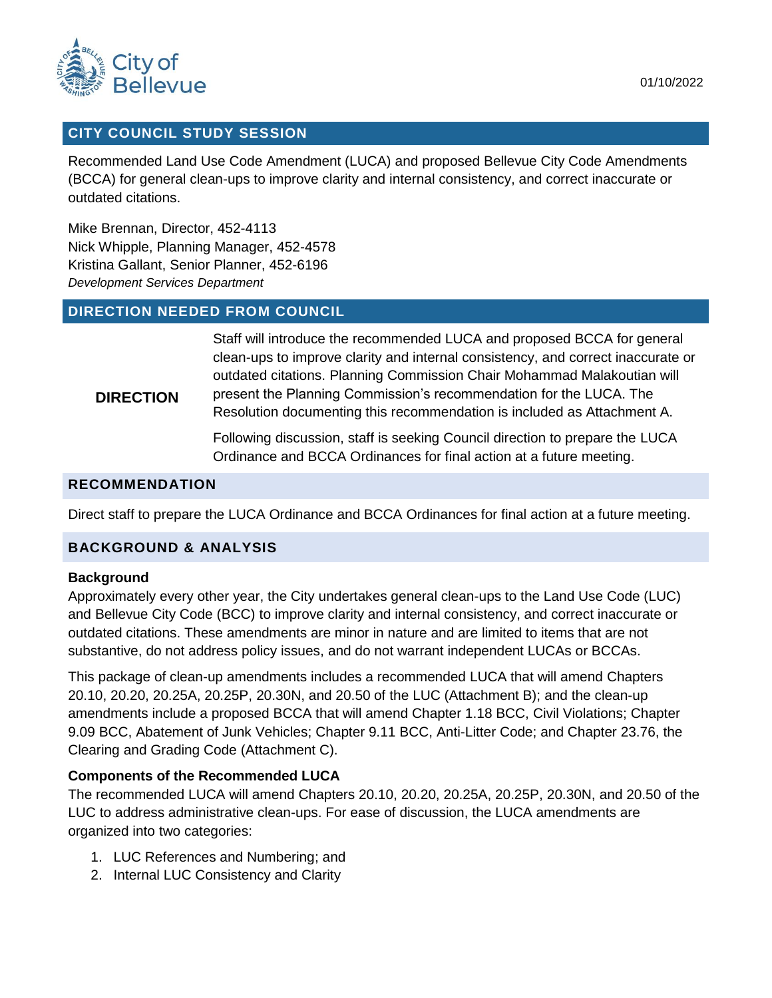

#### 01/10/2022

## **CITY COUNCIL STUDY SESSION**

Recommended Land Use Code Amendment (LUCA) and proposed Bellevue City Code Amendments (BCCA) for general clean-ups to improve clarity and internal consistency, and correct inaccurate or outdated citations.

Mike Brennan, Director, 452-4113 Nick Whipple, Planning Manager, 452-4578 Kristina Gallant, Senior Planner, 452-6196 *Development Services Department*

# **DIRECTION NEEDED FROM COUNCIL**

Staff will introduce the recommended LUCA and proposed BCCA for general clean-ups to improve clarity and internal consistency, and correct inaccurate or outdated citations. Planning Commission Chair Mohammad Malakoutian will present the Planning Commission's recommendation for the LUCA. The

#### **DIRECTION**

Resolution documenting this recommendation is included as Attachment A. Following discussion, staff is seeking Council direction to prepare the LUCA

Ordinance and BCCA Ordinances for final action at a future meeting.

#### **RECOMMENDATION**

Direct staff to prepare the LUCA Ordinance and BCCA Ordinances for final action at a future meeting.

# **BACKGROUND & ANALYSIS**

#### **Background**

Approximately every other year, the City undertakes general clean-ups to the Land Use Code (LUC) and Bellevue City Code (BCC) to improve clarity and internal consistency, and correct inaccurate or outdated citations. These amendments are minor in nature and are limited to items that are not substantive, do not address policy issues, and do not warrant independent LUCAs or BCCAs.

This package of clean-up amendments includes a recommended LUCA that will amend Chapters 20.10, 20.20, 20.25A, 20.25P, 20.30N, and 20.50 of the LUC (Attachment B); and the clean-up amendments include a proposed BCCA that will amend Chapter 1.18 BCC, Civil Violations; Chapter 9.09 BCC, Abatement of Junk Vehicles; Chapter 9.11 BCC, Anti-Litter Code; and Chapter 23.76, the Clearing and Grading Code (Attachment C).

#### **Components of the Recommended LUCA**

The recommended LUCA will amend Chapters 20.10, 20.20, 20.25A, 20.25P, 20.30N, and 20.50 of the LUC to address administrative clean-ups. For ease of discussion, the LUCA amendments are organized into two categories:

- 1. LUC References and Numbering; and
- 2. Internal LUC Consistency and Clarity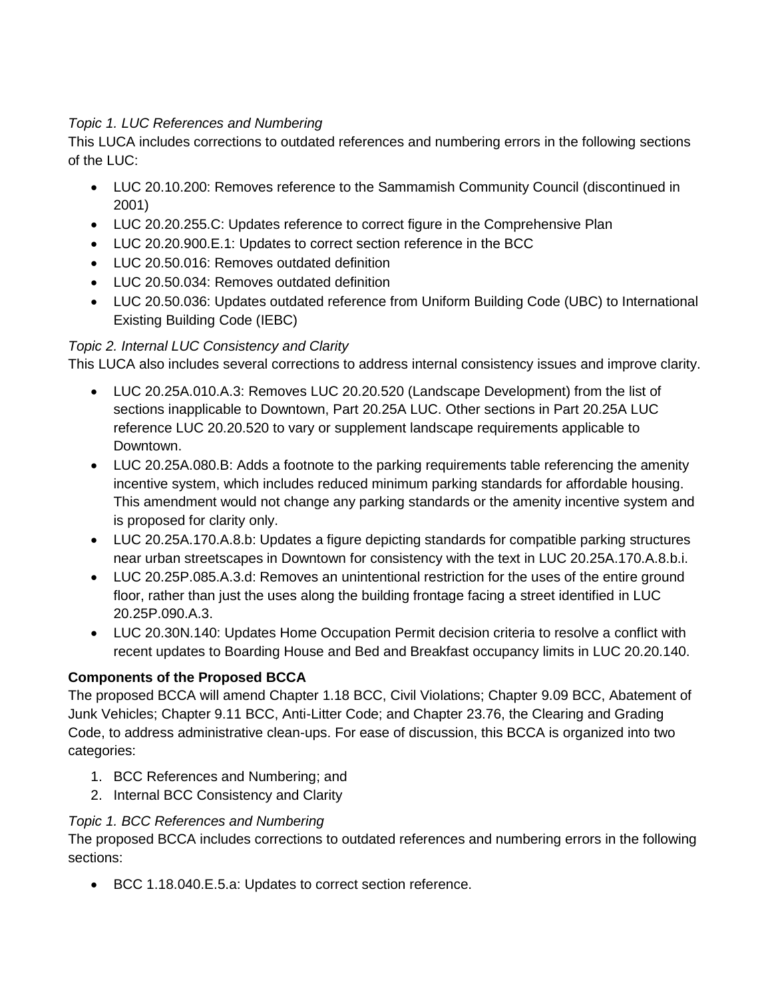# *Topic 1. LUC References and Numbering*

This LUCA includes corrections to outdated references and numbering errors in the following sections of the LUC:

- LUC 20.10.200: Removes reference to the Sammamish Community Council (discontinued in 2001)
- LUC 20.20.255.C: Updates reference to correct figure in the Comprehensive Plan
- LUC 20.20.900.E.1: Updates to correct section reference in the BCC
- LUC 20.50.016: Removes outdated definition
- LUC 20.50.034: Removes outdated definition
- LUC 20.50.036: Updates outdated reference from Uniform Building Code (UBC) to International Existing Building Code (IEBC)

# *Topic 2. Internal LUC Consistency and Clarity*

This LUCA also includes several corrections to address internal consistency issues and improve clarity.

- LUC 20.25A.010.A.3: Removes LUC 20.20.520 (Landscape Development) from the list of sections inapplicable to Downtown, Part 20.25A LUC. Other sections in Part 20.25A LUC reference LUC 20.20.520 to vary or supplement landscape requirements applicable to Downtown.
- LUC 20.25A.080.B: Adds a footnote to the parking requirements table referencing the amenity incentive system, which includes reduced minimum parking standards for affordable housing. This amendment would not change any parking standards or the amenity incentive system and is proposed for clarity only.
- LUC 20.25A.170.A.8.b: Updates a figure depicting standards for compatible parking structures near urban streetscapes in Downtown for consistency with the text in LUC 20.25A.170.A.8.b.i.
- LUC 20.25P.085.A.3.d: Removes an unintentional restriction for the uses of the entire ground floor, rather than just the uses along the building frontage facing a street identified in LUC 20.25P.090.A.3.
- LUC 20.30N.140: Updates Home Occupation Permit decision criteria to resolve a conflict with recent updates to Boarding House and Bed and Breakfast occupancy limits in LUC 20.20.140.

# **Components of the Proposed BCCA**

The proposed BCCA will amend Chapter 1.18 BCC, Civil Violations; Chapter 9.09 BCC, Abatement of Junk Vehicles; Chapter 9.11 BCC, Anti-Litter Code; and Chapter 23.76, the Clearing and Grading Code, to address administrative clean-ups. For ease of discussion, this BCCA is organized into two categories:

- 1. BCC References and Numbering; and
- 2. Internal BCC Consistency and Clarity

# *Topic 1. BCC References and Numbering*

The proposed BCCA includes corrections to outdated references and numbering errors in the following sections:

BCC 1.18.040.E.5.a: Updates to correct section reference.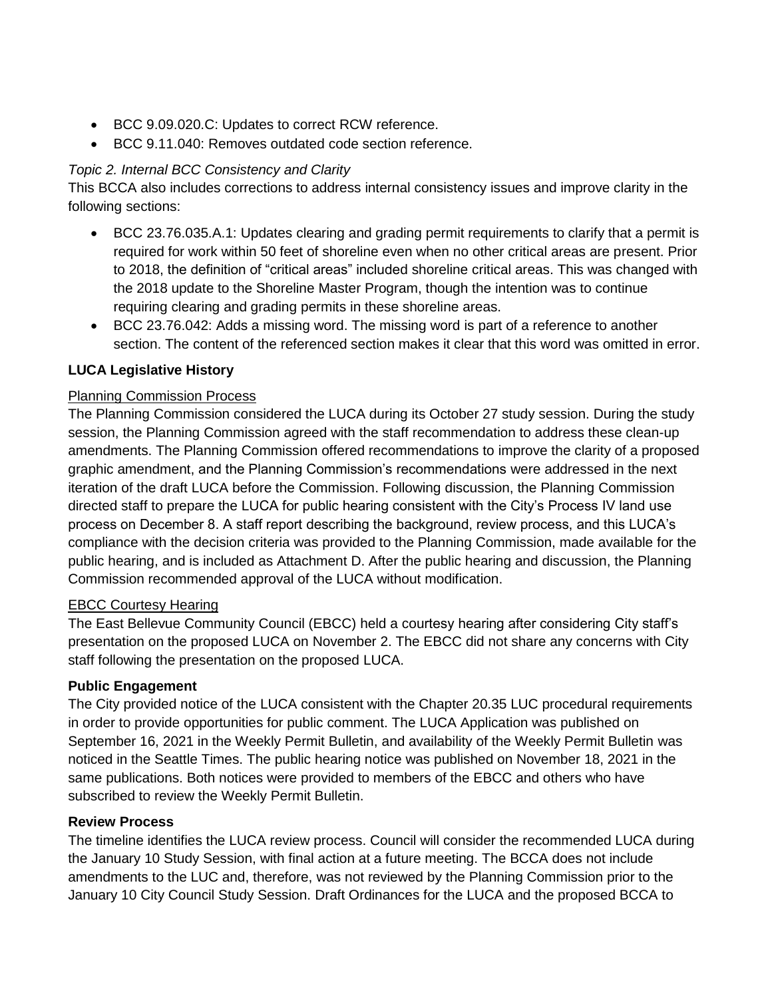- BCC 9.09.020.C: Updates to correct RCW reference.
- BCC 9.11.040: Removes outdated code section reference.

# *Topic 2. Internal BCC Consistency and Clarity*

This BCCA also includes corrections to address internal consistency issues and improve clarity in the following sections:

- BCC 23.76.035.A.1: Updates clearing and grading permit requirements to clarify that a permit is required for work within 50 feet of shoreline even when no other critical areas are present. Prior to 2018, the definition of "critical areas" included shoreline critical areas. This was changed with the 2018 update to the Shoreline Master Program, though the intention was to continue requiring clearing and grading permits in these shoreline areas.
- BCC 23.76.042: Adds a missing word. The missing word is part of a reference to another section. The content of the referenced section makes it clear that this word was omitted in error.

# **LUCA Legislative History**

# Planning Commission Process

The Planning Commission considered the LUCA during its October 27 study session. During the study session, the Planning Commission agreed with the staff recommendation to address these clean-up amendments. The Planning Commission offered recommendations to improve the clarity of a proposed graphic amendment, and the Planning Commission's recommendations were addressed in the next iteration of the draft LUCA before the Commission. Following discussion, the Planning Commission directed staff to prepare the LUCA for public hearing consistent with the City's Process IV land use process on December 8. A staff report describing the background, review process, and this LUCA's compliance with the decision criteria was provided to the Planning Commission, made available for the public hearing, and is included as Attachment D. After the public hearing and discussion, the Planning Commission recommended approval of the LUCA without modification.

# EBCC Courtesy Hearing

The East Bellevue Community Council (EBCC) held a courtesy hearing after considering City staff's presentation on the proposed LUCA on November 2. The EBCC did not share any concerns with City staff following the presentation on the proposed LUCA.

# **Public Engagement**

The City provided notice of the LUCA consistent with the Chapter 20.35 LUC procedural requirements in order to provide opportunities for public comment. The LUCA Application was published on September 16, 2021 in the Weekly Permit Bulletin, and availability of the Weekly Permit Bulletin was noticed in the Seattle Times. The public hearing notice was published on November 18, 2021 in the same publications. Both notices were provided to members of the EBCC and others who have subscribed to review the Weekly Permit Bulletin.

# **Review Process**

The timeline identifies the LUCA review process. Council will consider the recommended LUCA during the January 10 Study Session, with final action at a future meeting. The BCCA does not include amendments to the LUC and, therefore, was not reviewed by the Planning Commission prior to the January 10 City Council Study Session. Draft Ordinances for the LUCA and the proposed BCCA to